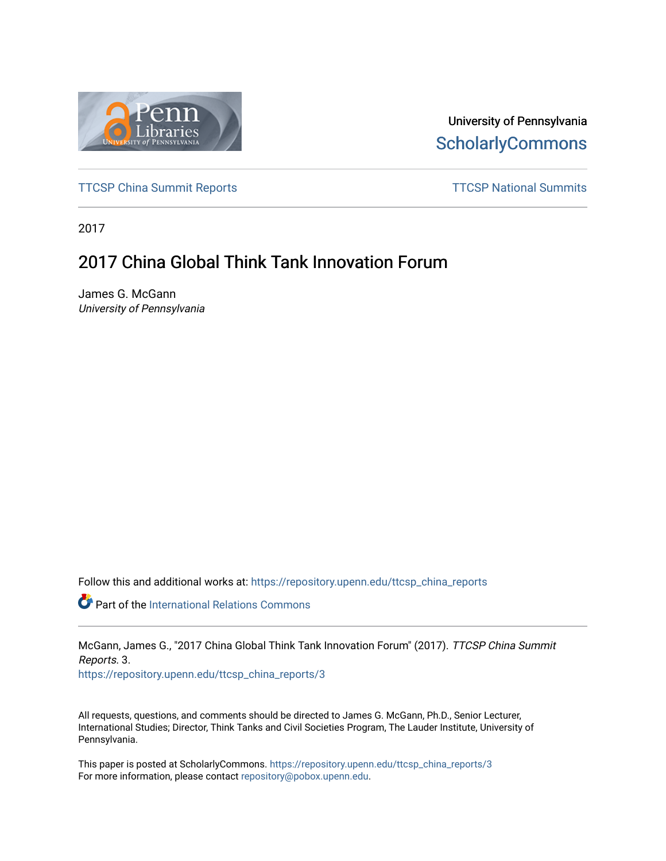

University of Pennsylvania **ScholarlyCommons** 

[TTCSP China Summit Reports](https://repository.upenn.edu/ttcsp_china_reports) [TTCSP National Summits](https://repository.upenn.edu/ttcsp_nationalsummits) 

2017

### 2017 China Global Think Tank Innovation Forum

James G. McGann University of Pennsylvania

Follow this and additional works at: [https://repository.upenn.edu/ttcsp\\_china\\_reports](https://repository.upenn.edu/ttcsp_china_reports?utm_source=repository.upenn.edu%2Fttcsp_china_reports%2F3&utm_medium=PDF&utm_campaign=PDFCoverPages)

**Part of the International Relations Commons** 

McGann, James G., "2017 China Global Think Tank Innovation Forum" (2017). TTCSP China Summit Reports. 3.

[https://repository.upenn.edu/ttcsp\\_china\\_reports/3](https://repository.upenn.edu/ttcsp_china_reports/3?utm_source=repository.upenn.edu%2Fttcsp_china_reports%2F3&utm_medium=PDF&utm_campaign=PDFCoverPages)

All requests, questions, and comments should be directed to James G. McGann, Ph.D., Senior Lecturer, International Studies; Director, Think Tanks and Civil Societies Program, The Lauder Institute, University of Pennsylvania.

This paper is posted at ScholarlyCommons. [https://repository.upenn.edu/ttcsp\\_china\\_reports/3](https://repository.upenn.edu/ttcsp_china_reports/3)  For more information, please contact [repository@pobox.upenn.edu.](mailto:repository@pobox.upenn.edu)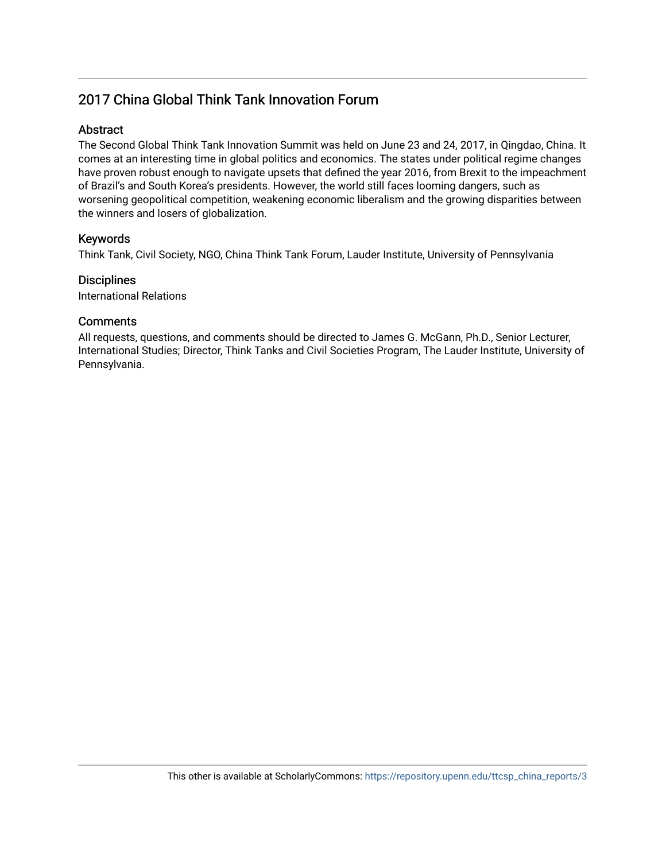### 2017 China Global Think Tank Innovation Forum

#### **Abstract**

The Second Global Think Tank Innovation Summit was held on June 23 and 24, 2017, in Qingdao, China. It comes at an interesting time in global politics and economics. The states under political regime changes have proven robust enough to navigate upsets that defined the year 2016, from Brexit to the impeachment of Brazil's and South Korea's presidents. However, the world still faces looming dangers, such as worsening geopolitical competition, weakening economic liberalism and the growing disparities between the winners and losers of globalization.

#### Keywords

Think Tank, Civil Society, NGO, China Think Tank Forum, Lauder Institute, University of Pennsylvania

#### **Disciplines**

International Relations

#### **Comments**

All requests, questions, and comments should be directed to James G. McGann, Ph.D., Senior Lecturer, International Studies; Director, Think Tanks and Civil Societies Program, The Lauder Institute, University of Pennsylvania.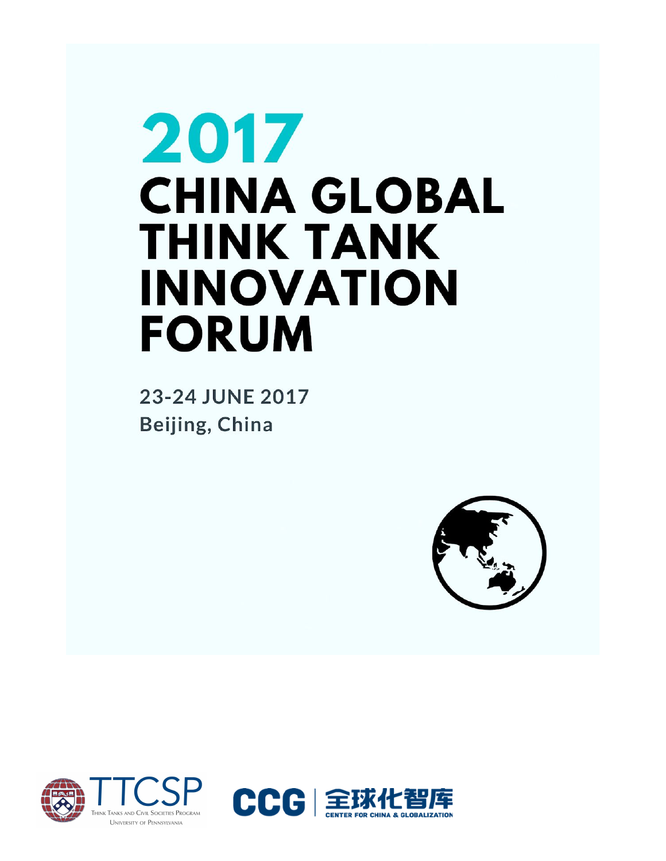# 2017 **CHINA GLOBAL THINK TANK INNOVATION FORUM**

23-24 JUNE 2017 Beijing, China







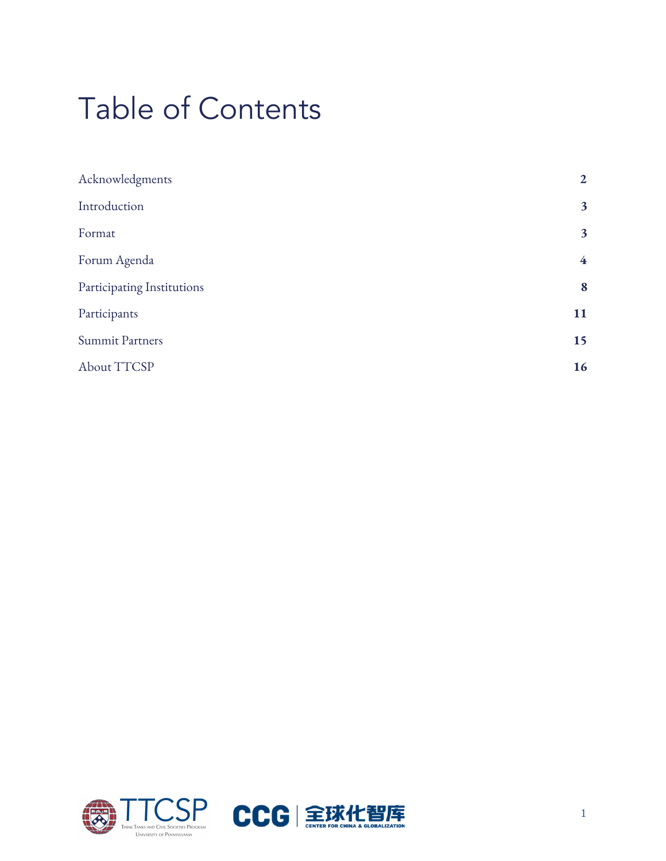# Table of Contents

| Acknowledgments            | $\overline{2}$          |
|----------------------------|-------------------------|
| Introduction               | $\overline{\mathbf{3}}$ |
| Format                     | $\overline{\mathbf{3}}$ |
| Forum Agenda               | $\overline{4}$          |
| Participating Institutions | 8                       |
| Participants               | 11                      |
| <b>Summit Partners</b>     | 15                      |
| <b>About TTCSP</b>         | 16                      |





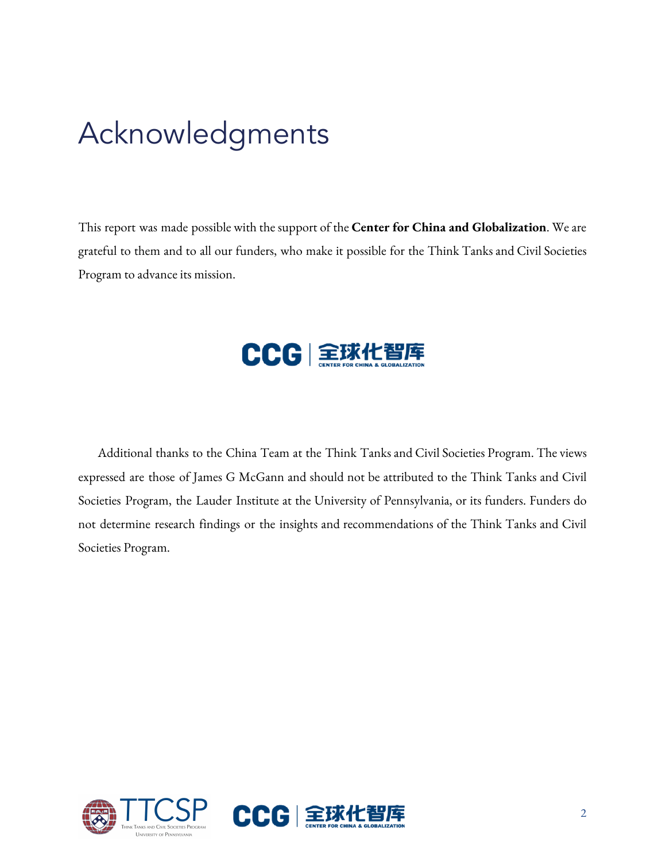# <span id="page-4-0"></span>Acknowledgments

This report was made possible with the support of the **Center for China and Globalization**. Weare grateful to them and to all our funders, who make it possible for the Think Tanksand Civil Societies Program to advance its mission.



Additional thanks to the China Team at the Think Tanksand Civil Societies Program. The views expressed are those of James G McGann and should not be attributed to the Think Tanks and Civil Societies Program, the Lauder Institute at the University of Pennsylvania, or its funders. Funders do not determine research findings or the insights and recommendations of the Think Tanks and Civil Societies Program.



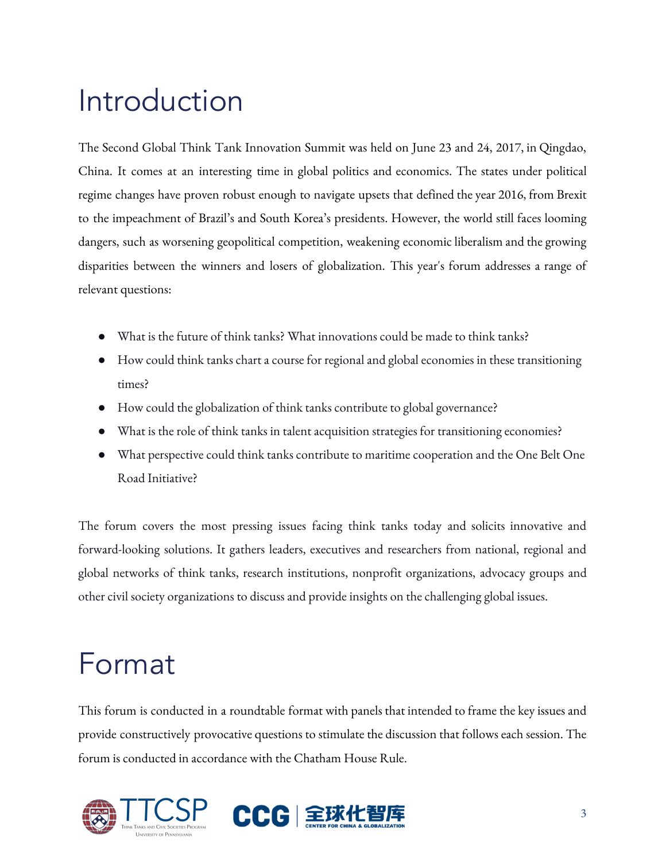# <span id="page-5-0"></span>Introduction

The Second Global Think Tank Innovation Summit was held on June 23 and 24, 2017, in Qingdao, China. It comes at an interesting time in global politics and economics. The states under political regime changes have proven robust enough to navigate upsets that defined the year 2016, from Brexit to the impeachment of Brazil's and South Korea's presidents. However, the world still faces looming dangers, such as worsening geopolitical competition, weakening economic liberalism and the growing disparities between the winners and losers of globalization. This year's forum addresses a range of relevant questions:

- What is the future of think tanks? What innovations could be made to think tanks?
- How could think tanks chart a course for regional and global economies in these transitioning times?
- How could the globalization of think tanks contribute to global governance?
- What is the role of think tanks in talent acquisition strategies for transitioning economies?
- What perspective could think tanks contribute to maritime cooperation and the One Belt One Road Initiative?

The forum covers the most pressing issues facing think tanks today and solicits innovative and forward-looking solutions. It gathers leaders, executives and researchers from national, regional and global networks of think tanks, research institutions, nonprofit organizations, advocacy groups and other civil society organizations to discuss and provide insights on the challenging global issues.

## <span id="page-5-1"></span>Format

This forum is conducted in a roundtable format with panels that intended to frame the key issues and provide constructively provocative questions to stimulate the discussion that follows each session. The forum is conducted in accordance with the Chatham House Rule.



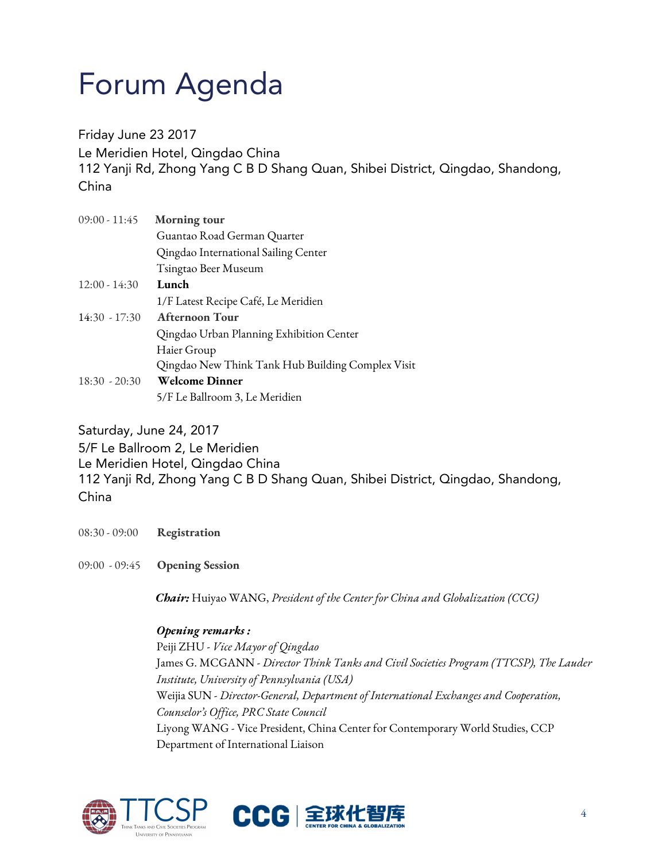# <span id="page-6-0"></span>Forum Agenda

Friday June 23 2017 Le Meridien Hotel, Qingdao China 112 Yanji Rd, Zhong Yang C B D Shang Quan, Shibei District, Qingdao, Shandong, China

| 09:00 - 11:45   | <b>Morning tour</b>                               |
|-----------------|---------------------------------------------------|
|                 | Guantao Road German Quarter                       |
|                 | Qingdao International Sailing Center              |
|                 | Tsingtao Beer Museum                              |
| $12:00 - 14:30$ | Lunch                                             |
|                 | 1/F Latest Recipe Café, Le Meridien               |
| 14:30 - 17:30   | <b>Afternoon Tour</b>                             |
|                 | Qingdao Urban Planning Exhibition Center          |
|                 | Haier Group                                       |
|                 | Qingdao New Think Tank Hub Building Complex Visit |
| $18:30 - 20:30$ | Welcome Dinner                                    |
|                 | 5/F Le Ballroom 3, Le Meridien                    |

Saturday, June 24, 2017

5/F Le Ballroom 2, Le Meridien Le Meridien Hotel, Qingdao China 112 Yanji Rd, Zhong Yang C B D Shang Quan, Shibei District, Qingdao, Shandong, China

- 08:30 09:00 **Registration**
- 09:00 09:45 **Opening Session**

*Chair:* Huiyao WANG, *President of the Center for China and Globalization (CCG)*

#### *Opening remarks :*

Peiji ZHU - *Vice Mayor of Qingdao* James G. MCGANN - *Director Think Tanks and Civil Societies Program (TTCSP), The Lauder Institute, University of Pennsylvania (USA)* Weijia SUN - *Director-General, Department of International Exchanges and Cooperation, Counselor's Of ice, PRC State Council* Liyong WANG - Vice President, China Center for Contemporary World Studies, CCP Department of International Liaison



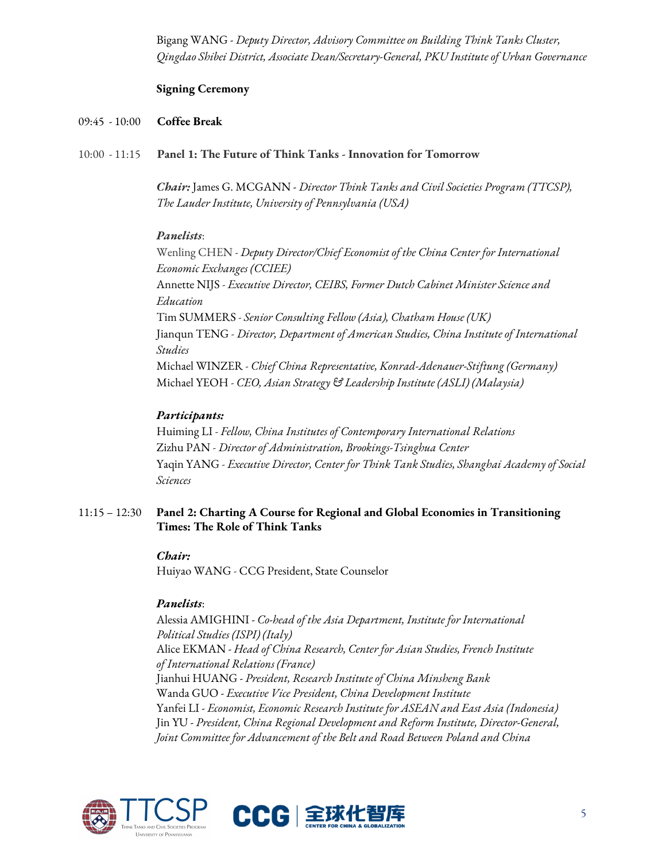Bigang WANG - *Deputy Director, Advisory Committee on Building Think Tanks Cluster, Qingdao Shibei District, Associate Dean/Secretary-General, PKU Institute of Urban Governance*

#### **Signing Ceremony**

#### 09:45 - 10:00 **Coffee Break**

#### 10:00 - 11:15 **Panel 1: The Future of Think Tanks - Innovation for Tomorrow**

*Chair:* James G. MCGANN - *Director Think Tanks and Civil Societies Program (TTCSP), The Lauder Institute, University of Pennsylvania (USA)*

#### *Panelists*:

Wenling CHEN - *Deputy Director/Chief Economist of the China Center for International Economic Exchanges (CCIEE)* Annette NIJS - *Executive Director, CEIBS, Former Dutch Cabinet Minister Science and Education* Tim SUMMERS - *Senior Consulting Fellow (Asia), Chatham House (UK)* Jianqun TENG - *Director, Department of American Studies, China Institute of International Studies* Michael WINZER - *Chief China Representative, Konrad-Adenauer-Stiftung (Germany)* Michael YEOH - *CEO, Asian Strategy & Leadership Institute (ASLI) (Malaysia)*

#### *Participants:*

Huiming LI - *Fellow, China Institutes of Contemporary International Relations* Zizhu PAN - *Director of Administration, Brookings-Tsinghua Center* Yaqin YANG - *Executive Director, Center for Think Tank Studies, Shanghai Academy of Social Sciences*

#### 11:15 – 12:30 **Panel 2: Charting A Course for Regional and Global Economies in Transitioning Times: The Role of Think Tanks**

#### *Chair:*

Huiyao WANG - CCG President, State Counselor

#### *Panelists*:

Alessia AMIGHINI - *Co-head of the Asia Department, Institute for International Political Studies (ISPI) (Italy)* Alice EKMAN - *Head of China Research, Center for Asian Studies, French Institute of International Relations (France)* Jianhui HUANG - *President, Research Institute of China Minsheng Bank* Wanda GUO - *Executive Vice President, China Development Institute* Yanfei LI - *Economist, Economic Research Institute for ASEAN and East Asia (Indonesia)* Jin YU - *President, China Regional Development and Reform Institute, Director-General, Joint Committee for Advancement of the Belt and Road Between Poland and China*



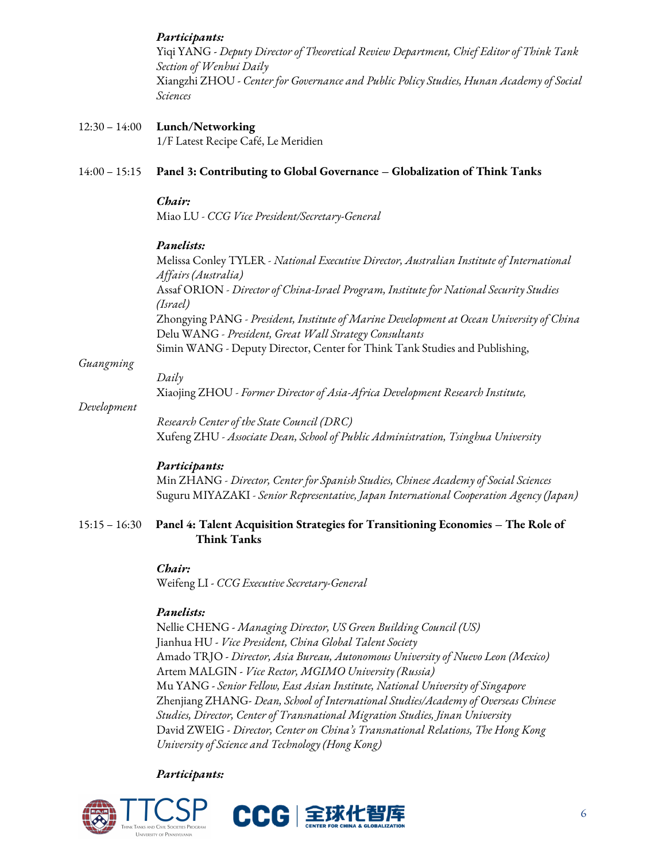*Participants:*

Yiqi YANG - *Deputy Director of Theoretical Review Department, Chief Editor of Think Tank Section of Wenhui Daily* Xiangzhi ZHOU - *Center for Governance and Public Policy Studies, Hunan Academy of Social Sciences*

12:30 – 14:00 **Lunch/Networking** 1/F Latest Recipe Café, Le Meridien

#### 14:00 – 15:15 **Panel 3: Contributing to Global Governance – Globalization of Think Tanks**

#### *Chair:*

Miao LU - *CCG Vice President/Secretary-General*

#### *Panelists:*

Melissa Conley TYLER - *National Executive Director, Australian Institute of International Af airs (Australia)* Assaf ORION - *Director of China-Israel Program, Institute for National Security Studies (Israel)* Zhongying PANG - *President, Institute of Marine Development at Ocean University of China* Delu WANG - *President, Great Wall Strategy Consultants* Simin WANG - Deputy Director, Center for Think Tank Studies and Publishing,

#### *Guangming*

*Daily* Xiaojing ZHOU - *Former Director of Asia-Africa Development Research Institute,*

#### *Development*

*Research Center of the State Council (DRC)* Xufeng ZHU - *Associate Dean, School of Public Administration, Tsinghua University*

#### *Participants:*

Min ZHANG - *Director, Center for Spanish Studies, Chinese Academy of Social Sciences* Suguru MIYAZAKI - *Senior Representative, Japan International Cooperation Agency (Japan)*

#### 15:15 – 16:30 **Panel 4: Talent Acquisition Strategies for Transitioning Economies – The Role of Think Tanks**

*Chair:*

Weifeng LI - *CCG Executive Secretary-General*

#### *Panelists:*

Nellie CHENG - *Managing Director, US Green Building Council (US)* Jianhua HU - *Vice President, China Global Talent Society* Amado TRJO - *Director, Asia Bureau, Autonomous University of Nuevo Leon (Mexico)* Artem MALGIN - *Vice Rector, MGIMO University (Russia)* Mu YANG - *Senior Fellow, East Asian Institute, National University of Singapore* Zhenjiang ZHANG- *Dean, School of International Studies/Academy of Overseas Chinese Studies, Director, Center of Transnational Migration Studies, Jinan University* David ZWEIG - *Director, Center on China's Transnational Relations, The Hong Kong University of Science and Technology (Hong Kong)*

#### *Participants:*



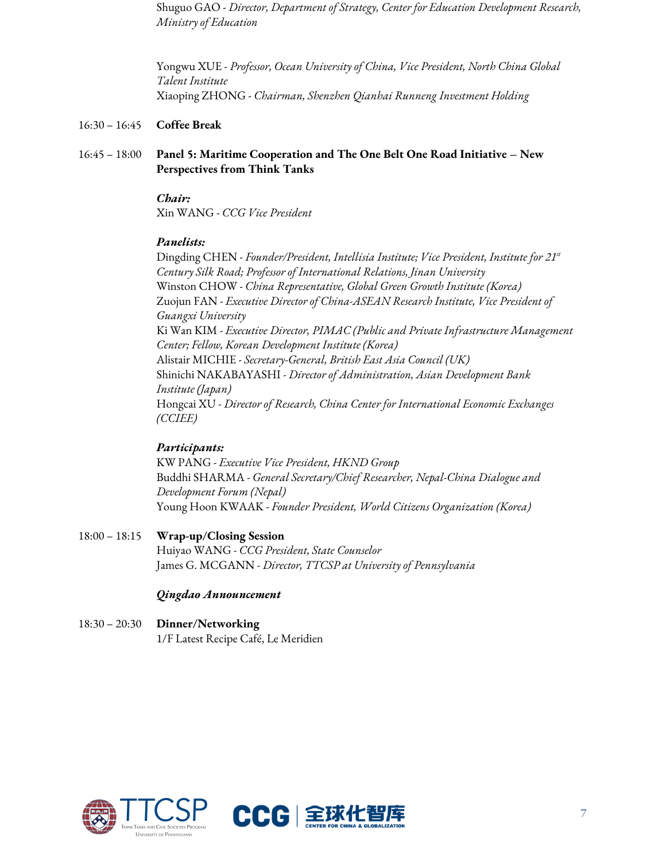Shuguo GAO - *Director, Department of Strategy, Center for Education Development Research, Ministry of Education*

Yongwu XUE - *Professor, Ocean University of China, Vice President, North China Global Talent Institute* Xiaoping ZHONG - *Chairman, Shenzhen Qianhai Runneng Investment Holding*

#### 16:30 – 16:45 **Coffee Break**

#### 16:45 – 18:00 **Panel 5: Maritime Cooperation and The One Belt One Road Initiative – New Perspectives from Think Tanks**

#### *Chair:*

Xin WANG - *CCG Vice President*

#### *Panelists:*

Dingding CHEN - *Founder/President, Intellisia Institute; Vice President, Institute for 21 st Century Silk Road; Professor of International Relations, Jinan University* Winston CHOW - *China Representative, Global Green Growth Institute (Korea)* Zuojun FAN - *Executive Director of China-ASEAN Research Institute, Vice President of Guangxi University* Ki Wan KIM - *Executive Director, PIMAC (Public and Private Infrastructure Management Center; Fellow, Korean Development Institute (Korea)* Alistair MICHIE - *Secretary-General, British East Asia Council (UK)* Shinichi NAKABAYASHI *- Director of Administration, Asian Development Bank Institute (Japan)* Hongcai XU - *Director of Research, China Center for International Economic Exchanges (CCIEE)*

#### *Participants:*

KW PANG - *Executive Vice President, HKND Group* Buddhi SHARMA - *General Secretary/Chief Researcher, Nepal-China Dialogue and Development Forum (Nepal)* Young Hoon KWAAK - *Founder President, World Citizens Organization (Korea)*

#### 18:00 – 18:15 **Wrap-up/Closing Session**

Huiyao WANG - *CCG President, State Counselor* James G. MCGANN - *Director, TTCSP at University of Pennsylvania*

#### *Qingdao Announcement*

18:30 – 20:30 **Dinner/Networking** 1/F Latest Recipe Café, Le Meridien



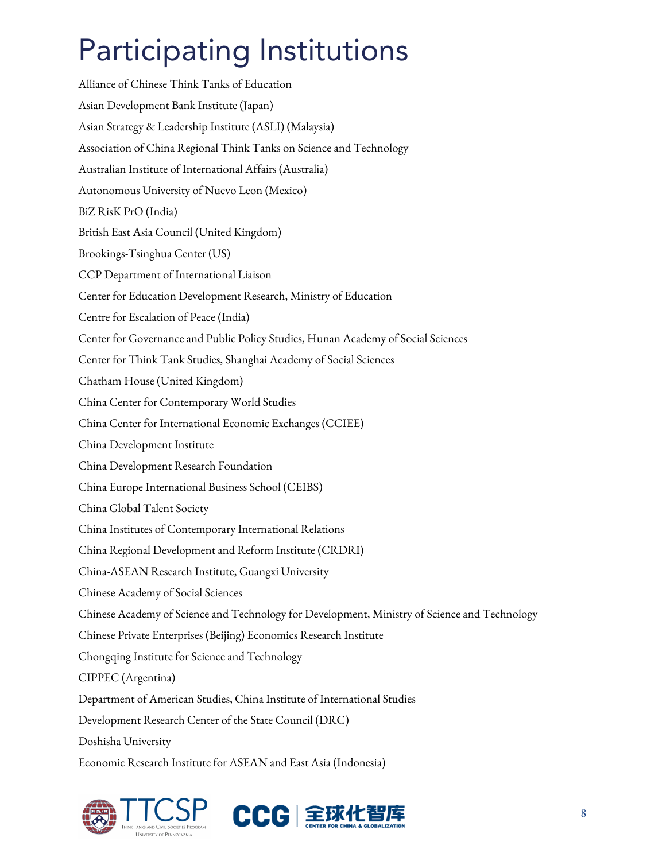# <span id="page-10-0"></span>Participating Institutions

Alliance of Chinese Think Tanks of Education Asian Development Bank Institute (Japan) Asian Strategy & Leadership Institute (ASLI) (Malaysia) Association of China Regional Think Tanks on Science and Technology Australian Institute of International Affairs (Australia) Autonomous University of Nuevo Leon (Mexico) BiZ RisK PrO (India) British East Asia Council (United Kingdom) Brookings-Tsinghua Center (US) CCP Department of International Liaison Center for Education Development Research, Ministry of Education Centre for Escalation of Peace (India) Center for Governance and Public Policy Studies, Hunan Academy of Social Sciences Center for Think Tank Studies, Shanghai Academy of Social Sciences Chatham House (United Kingdom) China Center for Contemporary World Studies China Center for International Economic Exchanges (CCIEE) China Development Institute China Development Research Foundation China Europe International Business School (CEIBS) China Global Talent Society China Institutes of Contemporary International Relations China Regional Development and Reform Institute (CRDRI) China-ASEAN Research Institute, Guangxi University Chinese Academy of Social Sciences Chinese Academy of Science and Technology for Development, Ministry of Science and Technology Chinese Private Enterprises (Beijing) Economics Research Institute Chongqing Institute for Science and Technology CIPPEC (Argentina) Department of American Studies, China Institute of International Studies Development Research Center of the State Council (DRC) Doshisha University Economic Research Institute for ASEAN and East Asia (Indonesia)



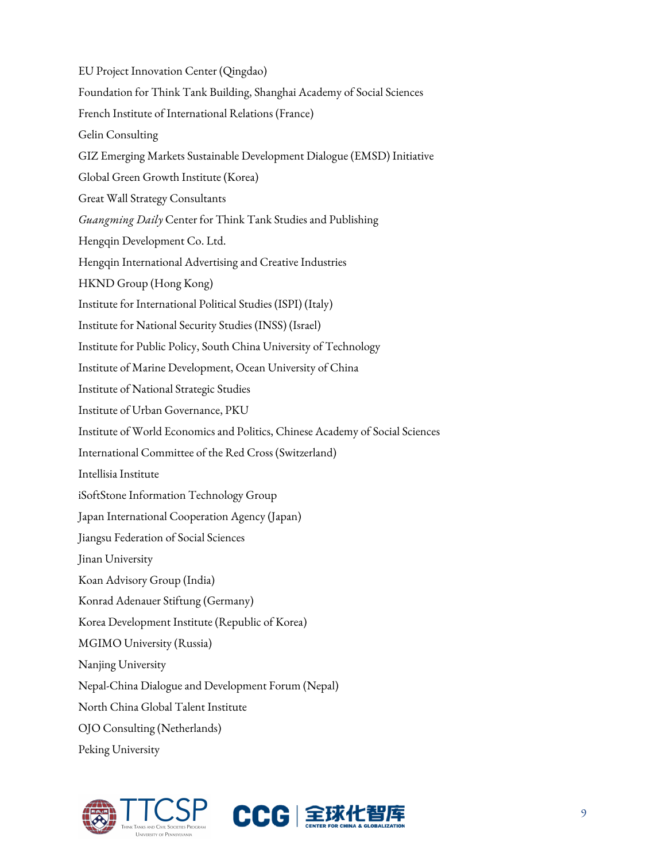EU Project Innovation Center (Qingdao) Foundation for Think Tank Building, Shanghai Academy of Social Sciences French Institute of International Relations (France) Gelin Consulting GIZ Emerging Markets Sustainable Development Dialogue (EMSD) Initiative Global Green Growth Institute (Korea) Great Wall Strategy Consultants *Guangming Daily* Center for Think Tank Studies and Publishing Hengqin Development Co. Ltd. Hengqin International Advertising and Creative Industries HKND Group (Hong Kong) Institute for International Political Studies (ISPI) (Italy) Institute for National Security Studies (INSS) (Israel) Institute for Public Policy, South China University of Technology Institute of Marine Development, Ocean University of China Institute of National Strategic Studies Institute of Urban Governance, PKU Institute of World Economics and Politics, Chinese Academy of Social Sciences International Committee of the Red Cross (Switzerland) Intellisia Institute iSoftStone Information Technology Group Japan International Cooperation Agency (Japan) Jiangsu Federation of Social Sciences Jinan University Koan Advisory Group (India) Konrad Adenauer Stiftung (Germany) Korea Development Institute (Republic of Korea) MGIMO University (Russia) Nanjing University Nepal-China Dialogue and Development Forum (Nepal) North China Global Talent Institute OJO Consulting (Netherlands) Peking University



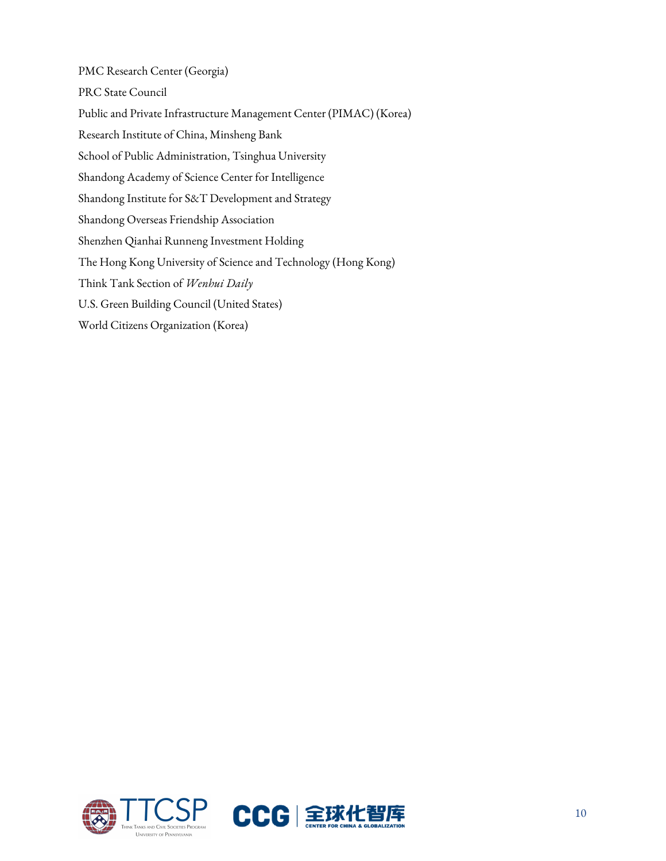PMC Research Center (Georgia) PRC State Council Public and Private Infrastructure Management Center (PIMAC) (Korea) Research Institute of China, Minsheng Bank School of Public Administration, Tsinghua University Shandong Academy of Science Center for Intelligence Shandong Institute for S&T Development and Strategy Shandong Overseas Friendship Association Shenzhen Qianhai Runneng Investment Holding The Hong Kong University of Science and Technology (Hong Kong) Think Tank Section of *Wenhui Daily* U.S. Green Building Council (United States) World Citizens Organization (Korea)



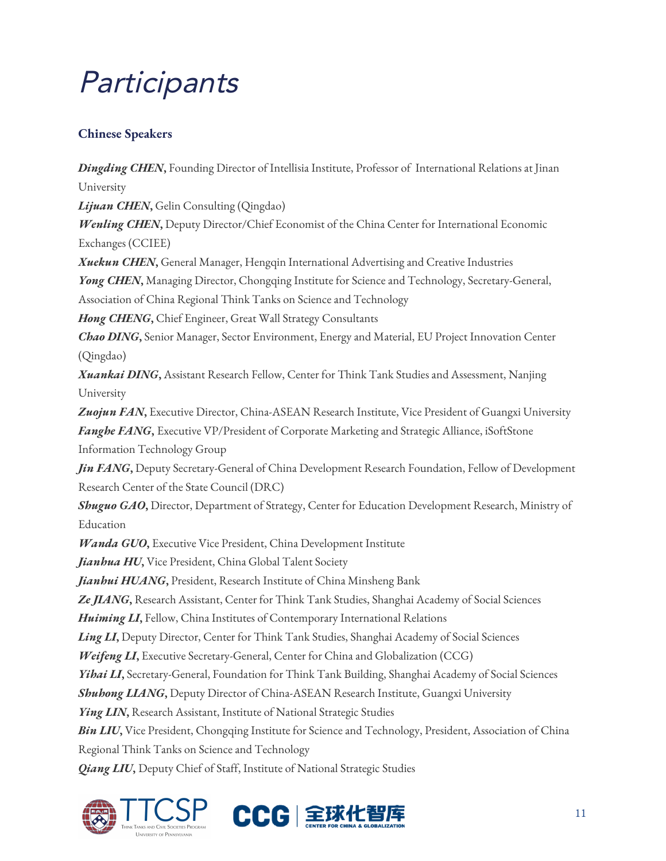# <span id="page-13-0"></span>**Participants**

### **Chinese Speakers**

*Dingding CHEN***,** Founding Director of Intellisia Institute, Professor of International Relations at Jinan University *Lijuan CHEN***,** Gelin Consulting (Qingdao) *Wenling CHEN***,** Deputy Director/Chief Economist of the China Center for International Economic Exchanges (CCIEE) *Xuekun CHEN***,** General Manager, Hengqin International Advertising and Creative Industries *Yong CHEN***,** Managing Director, Chongqing Institute for Science and Technology, Secretary-General, Association of China Regional Think Tanks on Science and Technology *Hong CHENG***,** Chief Engineer, Great Wall Strategy Consultants *Chao DING***,** Senior Manager, Sector Environment, Energy and Material, EU Project Innovation Center (Qingdao) *Xuankai DING***,** Assistant Research Fellow, Center for Think Tank Studies and Assessment, Nanjing University Zuojun FAN, Executive Director, China-ASEAN Research Institute, Vice President of Guangxi University *Fanghe FANG***,** Executive VP/President of Corporate Marketing and Strategic Alliance, iSoftStone Information Technology Group *Jin FANG***,** Deputy Secretary-General of China Development Research Foundation, Fellow of Development Research Center of the State Council (DRC) *Shuguo GAO***,** Director, Department of Strategy, Center for Education Development Research, Ministry of Education *Wanda GUO***,** Executive Vice President, China Development Institute *Jianhua HU***,** Vice President, China Global Talent Society *Jianhui HUANG***,** President, Research Institute of China Minsheng Bank *Ze JIANG***,** Research Assistant, Center for Think Tank Studies, Shanghai Academy of Social Sciences *Huiming LI***,** Fellow, China Institutes of Contemporary International Relations *Ling LI***,** Deputy Director, Center for Think Tank Studies, Shanghai Academy of Social Sciences *Weifeng LI***,** Executive Secretary-General, Center for China and Globalization (CCG) *Yihai LI***,** Secretary-General, Foundation for Think Tank Building, Shanghai Academy of Social Sciences *Shuhong LIANG***,** Deputy Director of China-ASEAN Research Institute, Guangxi University *Ying LIN***,** Research Assistant, Institute of National Strategic Studies *Bin LIU***,** Vice President, Chongqing Institute for Science and Technology, President, Association of China Regional Think Tanks on Science and Technology *Qiang LIU***,** Deputy Chief of Staff, Institute of National Strategic Studies



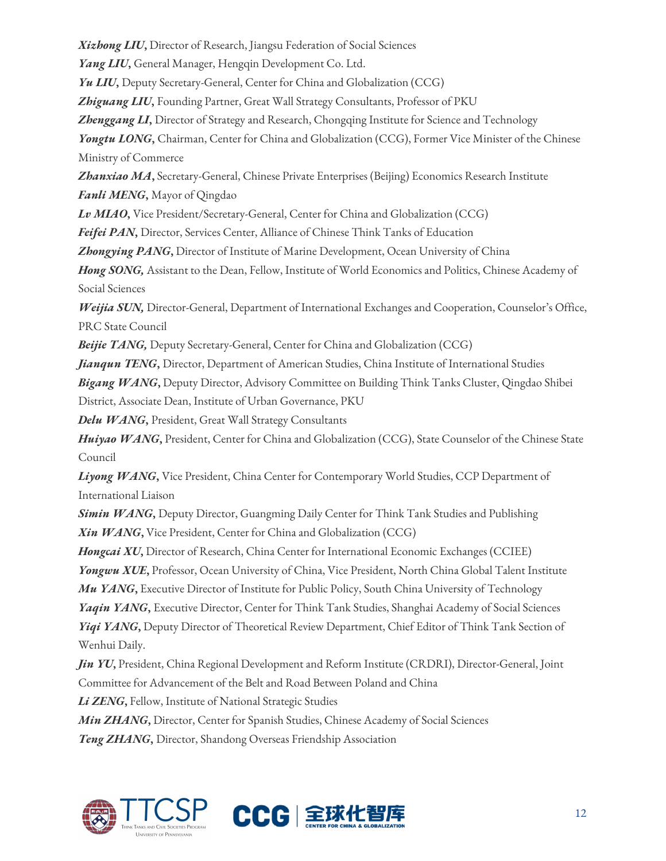*Xizhong LIU***,** Director of Research, Jiangsu Federation of Social Sciences

*Yang LIU***,** General Manager, Hengqin Development Co. Ltd.

*Yu LIU***,** Deputy Secretary-General, Center for China and Globalization (CCG)

*Zhiguang LIU***,** Founding Partner, Great Wall Strategy Consultants, Professor of PKU

*Zhenggang LI***,** Director of Strategy and Research, Chongqing Institute for Science and Technology

*Yongtu LONG***,** Chairman, Center for China and Globalization (CCG), Former Vice Minister of the Chinese Ministry of Commerce

*Zhanxiao MA***,** Secretary-General, Chinese Private Enterprises (Beijing) Economics Research Institute *Fanli MENG***,** Mayor of Qingdao

*Lv MIAO***,** Vice President/Secretary-General, Center for China and Globalization (CCG)

*Feifei PAN***,** Director, Services Center, Alliance of Chinese Think Tanks of Education

*Zhongying PANG***,** Director of Institute of Marine Development, Ocean University of China

*Hong SONG,* Assistant to the Dean, Fellow, Institute of World Economics and Politics, Chinese Academy of Social Sciences

*Weijia SUN,* Director-General, Department of International Exchanges and Cooperation, Counselor's Office, PRC State Council

*Beijie TANG,* Deputy Secretary-General, Center for China and Globalization (CCG)

*Jianqun TENG***,** Director, Department of American Studies, China Institute of International Studies *Bigang WANG***,** Deputy Director, Advisory Committee on Building Think Tanks Cluster, Qingdao Shibei District, Associate Dean, Institute of Urban Governance, PKU

*Delu WANG***,** President, Great Wall Strategy Consultants

*Huiyao WANG***,** President, Center for China and Globalization (CCG), State Counselor of the Chinese State Council

*Liyong WANG***,** Vice President, China Center for Contemporary World Studies, CCP Department of International Liaison

*Simin WANG***,** Deputy Director, Guangming Daily Center for Think Tank Studies and Publishing *Xin WANG***,** Vice President, Center for China and Globalization (CCG)

*Hongcai XU***,** Director of Research, China Center for International Economic Exchanges (CCIEE)

*Yongwu XUE***,** Professor, Ocean University of China, Vice President, North China Global Talent Institute

*Mu YANG***,** Executive Director of Institute for Public Policy, South China University of Technology

*Yaqin YANG***,** Executive Director, Center for Think Tank Studies, Shanghai Academy of Social Sciences

*Yiqi YANG***,** Deputy Director of Theoretical Review Department, Chief Editor of Think Tank Section of Wenhui Daily.

*Jin YU***,** President, China Regional Development and Reform Institute (CRDRI), Director-General, Joint Committee for Advancement of the Belt and Road Between Poland and China

*Li ZENG***,** Fellow, Institute of National Strategic Studies

*Min ZHANG***,** Director, Center for Spanish Studies, Chinese Academy of Social Sciences

*Teng ZHANG***,** Director, Shandong Overseas Friendship Association



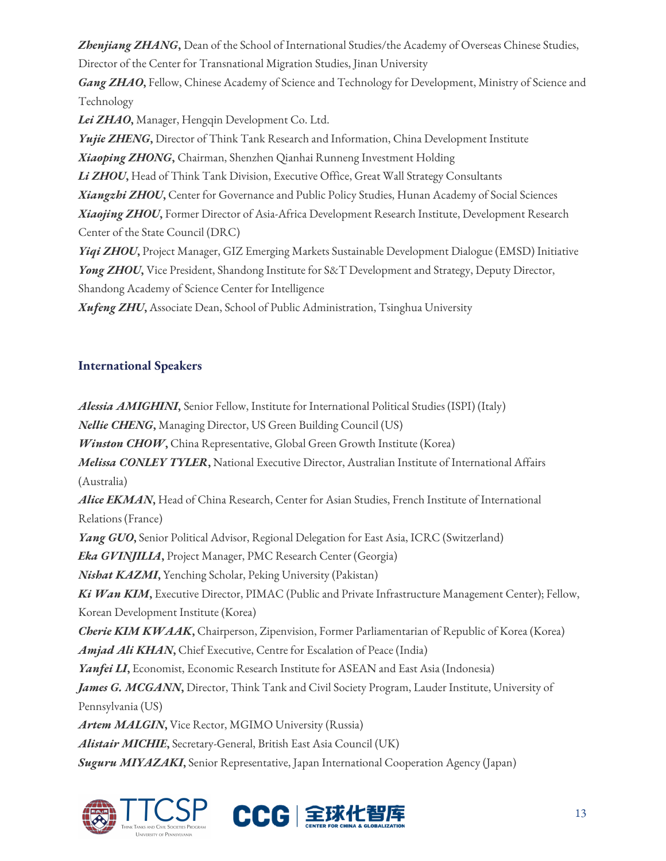*Zhenjiang ZHANG***,** Dean of the School of International Studies/the Academy of Overseas Chinese Studies, Director of the Center for Transnational Migration Studies, Jinan University

*Gang ZHAO***,** Fellow, Chinese Academy of Science and Technology for Development, Ministry of Science and Technology

*Lei ZHAO***,** Manager, Hengqin Development Co. Ltd.

*Yujie ZHENG***,** Director of Think Tank Research and Information, China Development Institute *Xiaoping ZHONG***,** Chairman, Shenzhen Qianhai Runneng Investment Holding *Li ZHOU***,** Head of Think Tank Division, Executive Office, Great Wall Strategy Consultants *Xiangzhi ZHOU***,** Center for Governance and Public Policy Studies, Hunan Academy of Social Sciences *Xiaojing ZHOU***,** Former Director of Asia-Africa Development Research Institute, Development Research Center of the State Council (DRC) *Yiqi ZHOU***,** Project Manager, GIZ Emerging Markets Sustainable Development Dialogue (EMSD) Initiative *Yong ZHOU***,** Vice President, Shandong Institute for S&T Development and Strategy, Deputy Director, Shandong Academy of Science Center for Intelligence *Xufeng ZHU***,** Associate Dean, School of Public Administration, Tsinghua University

### **International Speakers**

*Alessia AMIGHINI***,** Senior Fellow, Institute for International Political Studies (ISPI) (Italy) *Nellie CHENG***,** Managing Director, US Green Building Council (US) *Winston CHOW***,** China Representative, Global Green Growth Institute (Korea) *Melissa CONLEY TYLER***,** National Executive Director, Australian Institute of International Affairs (Australia) *Alice EKMAN***,** Head of China Research, Center for Asian Studies, French Institute of International Relations (France) *Yang GUO***,** Senior Political Advisor, Regional Delegation for East Asia, ICRC (Switzerland) *Eka GVINJILIA***,** Project Manager, PMC Research Center (Georgia) *Nishat KAZMI***,** Yenching Scholar, Peking University (Pakistan) *Ki Wan KIM***,** Executive Director, PIMAC (Public and Private Infrastructure Management Center); Fellow, Korean Development Institute (Korea) *Cherie KIM KWAAK***,** Chairperson, Zipenvision, Former Parliamentarian of Republic of Korea (Korea) *Amjad Ali KHAN***,** Chief Executive, Centre for Escalation of Peace (India) *Yanfei LI***,** Economist, Economic Research Institute for ASEAN and East Asia (Indonesia) *James G. MCGANN***,** Director, Think Tank and Civil Society Program, Lauder Institute, University of Pennsylvania (US) *Artem MALGIN***,** Vice Rector, MGIMO University (Russia) *Alistair MICHIE***,** Secretary-General, British East Asia Council (UK) *Suguru MIYAZAKI***,** Senior Representative, Japan International Cooperation Agency (Japan)



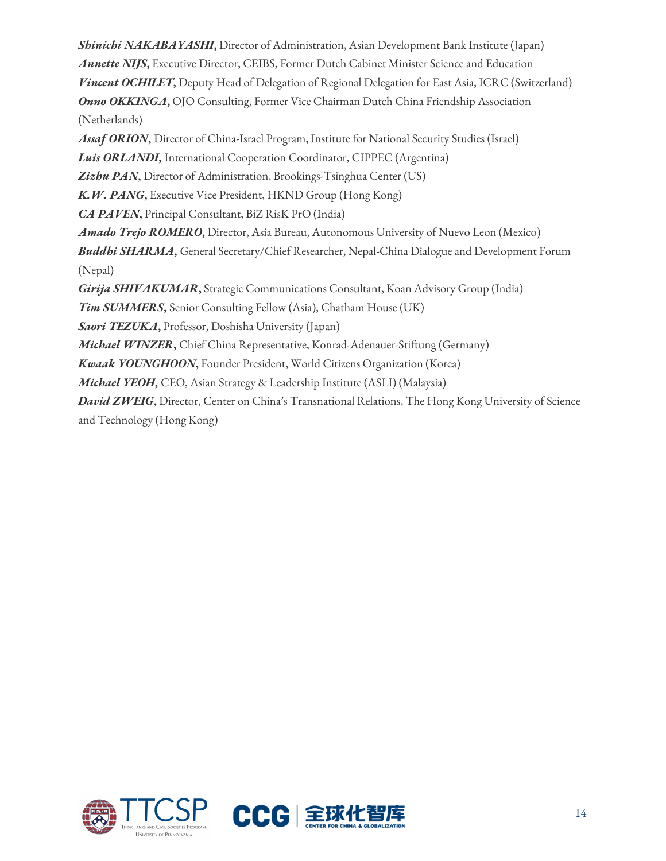*Shinichi NAKABAYASHI***,** Director of Administration, Asian Development Bank Institute (Japan) *Annette NIJS***,** Executive Director, CEIBS, Former Dutch Cabinet Minister Science and Education *Vincent OCHILET***,** Deputy Head of Delegation of Regional Delegation for East Asia, ICRC (Switzerland) *Onno OKKINGA***,** OJO Consulting, Former Vice Chairman Dutch China Friendship Association (Netherlands) *Assaf ORION***,** Director of China-Israel Program, Institute for National Security Studies (Israel) *Luis ORLANDI***,** International Cooperation Coordinator, CIPPEC (Argentina) *Zizhu PAN***,** Director of Administration, Brookings-Tsinghua Center (US) *K.W. PANG***,** Executive Vice President, HKND Group (Hong Kong) *CA PAVEN***,** Principal Consultant, BiZ RisK PrO (India) *Amado Trejo ROMERO***,** Director, Asia Bureau, Autonomous University of Nuevo Leon (Mexico) *Buddhi SHARMA***,** General Secretary/Chief Researcher, Nepal-China Dialogue and Development Forum (Nepal) *Girija SHIVAKUMAR***,** Strategic Communications Consultant, Koan Advisory Group (India) *Tim SUMMERS***,** Senior Consulting Fellow (Asia), Chatham House (UK) *Saori TEZUKA***,** Professor, Doshisha University (Japan) *Michael WINZER***,** Chief China Representative, Konrad-Adenauer-Stiftung (Germany) *Kwaak YOUNGHOON***,** Founder President, World Citizens Organization (Korea) *Michael YEOH***,** CEO, Asian Strategy & Leadership Institute (ASLI) (Malaysia) *David ZWEIG***,** Director, Center on China's Transnational Relations, The Hong Kong University of Science and Technology (Hong Kong)



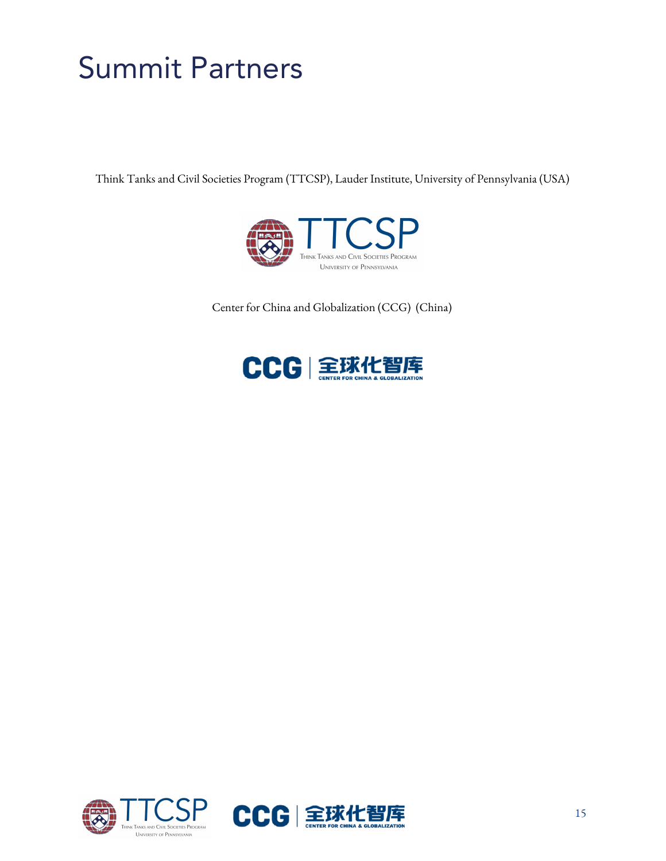# <span id="page-17-0"></span>Summit Partners

Think Tanks and Civil Societies Program (TTCSP), Lauder Institute, University of Pennsylvania (USA)



Center for China and Globalization (CCG) (China)





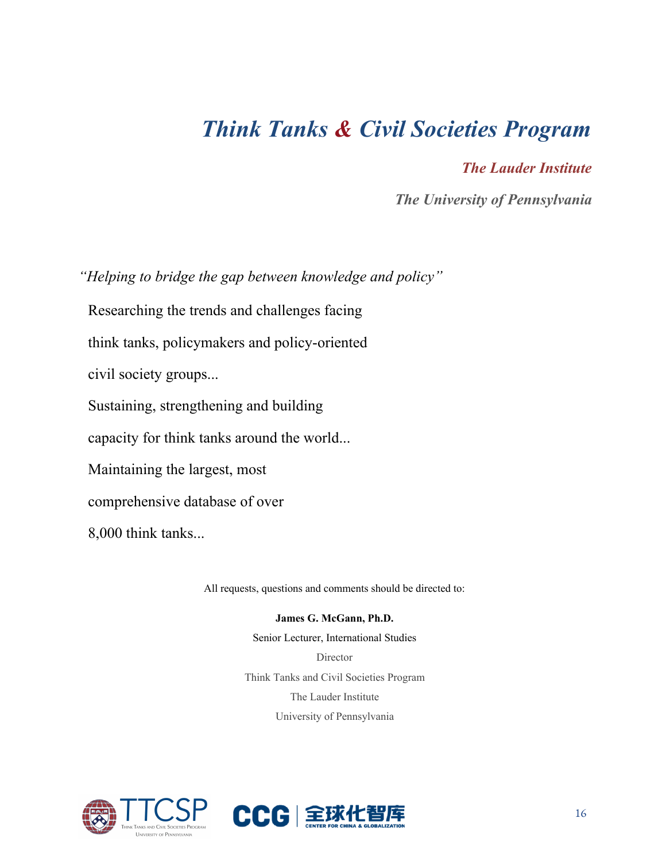### *Think Tanks & Civil Societies Program*

### *The Lauder Institute*

*The University of Pennsylvania*

*"Helping to bridge the gap between knowledge and policy"*

Researching the trends and challenges facing

think tanks, policymakers and policy-oriented

civil society groups...

Sustaining, strengthening and building

capacity for think tanks around the world...

Maintaining the largest, most

comprehensive database of over

8,000 think tanks...

All requests, questions and comments should be directed to:

**James G. McGann, Ph.D.** Senior Lecturer, International Studies Director Think Tanks and Civil Societies Program The Lauder Institute University of Pennsylvania



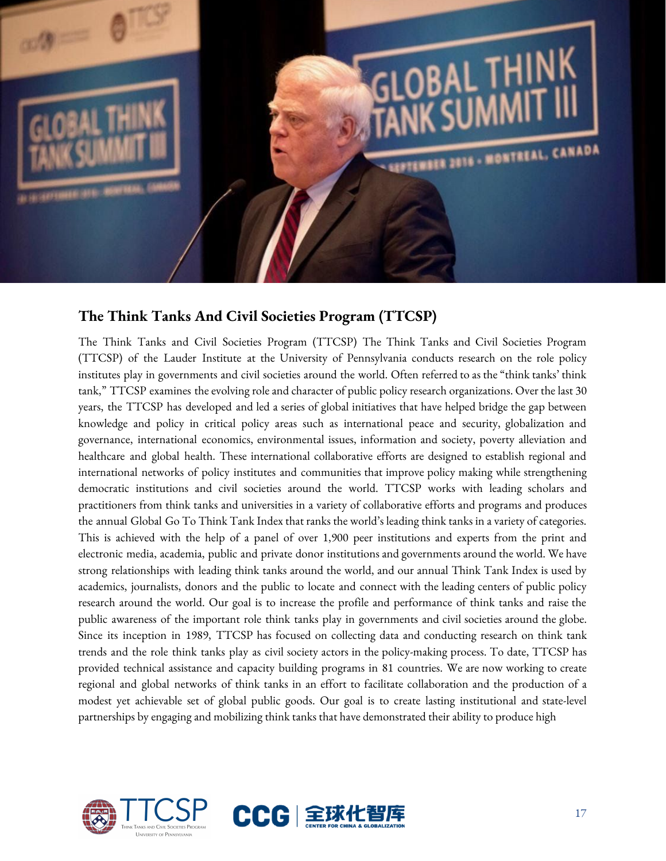

### **The Think Tanks And Civil Societies Program (TTCSP)**

The Think Tanks and Civil Societies Program (TTCSP) The Think Tanks and Civil Societies Program (TTCSP) of the Lauder Institute at the University of Pennsylvania conducts research on the role policy institutes play in governments and civil societies around the world. Often referred to as the "think tanks' think tank," TTCSP examines the evolving role and character of public policy research organizations. Over the last 30 years, the TTCSP has developed and led a series of global initiatives that have helped bridge the gap between knowledge and policy in critical policy areas such as international peace and security, globalization and governance, international economics, environmental issues, information and society, poverty alleviation and healthcare and global health. These international collaborative efforts are designed to establish regional and international networks of policy institutes and communities that improve policy making while strengthening democratic institutions and civil societies around the world. TTCSP works with leading scholars and practitioners from think tanks and universities in a variety of collaborative efforts and programs and produces the annual Global Go To Think Tank Index that ranks the world's leading think tanks in a variety of categories. This is achieved with the help of a panel of over 1,900 peer institutions and experts from the print and electronic media, academia, public and private donor institutions and governments around the world. We have strong relationships with leading think tanks around the world, and our annual Think Tank Index is used by academics, journalists, donors and the public to locate and connect with the leading centers of public policy research around the world. Our goal is to increase the profile and performance of think tanks and raise the public awareness of the important role think tanks play in governments and civil societies around the globe. Since its inception in 1989, TTCSP has focused on collecting data and conducting research on think tank trends and the role think tanks play as civil society actors in the policy-making process. To date, TTCSP has provided technical assistance and capacity building programs in 81 countries. We are now working to create regional and global networks of think tanks in an effort to facilitate collaboration and the production of a modest yet achievable set of global public goods. Our goal is to create lasting institutional and state-level partnerships by engaging and mobilizing think tanks that have demonstrated their ability to produce high